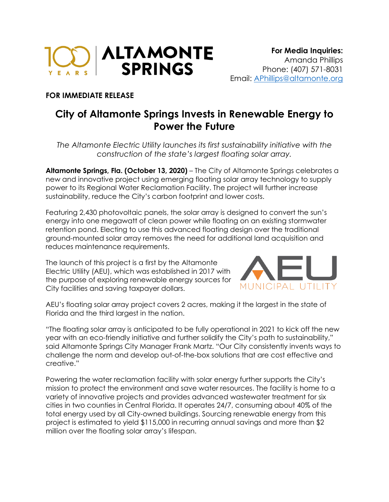

## **FOR IMMEDIATE RELEASE**

## **City of Altamonte Springs Invests in Renewable Energy to Power the Future**

*The Altamonte Electric Utility launches its first sustainability initiative with the construction of the state's largest floating solar array.* 

**Altamonte Springs, Fla. (October 13, 2020)** – The City of Altamonte Springs celebrates a new and innovative project using emerging floating solar array technology to supply power to its Regional Water Reclamation Facility. The project will further increase sustainability, reduce the City's carbon footprint and lower costs.

Featuring 2,430 photovoltaic panels, the solar array is designed to convert the sun's energy into one megawatt of clean power while floating on an existing stormwater retention pond. Electing to use this advanced floating design over the traditional ground-mounted solar array removes the need for additional land acquisition and reduces maintenance requirements.

The launch of this project is a first by the Altamonte Electric Utility (AEU), which was established in 2017 with the purpose of exploring renewable energy sources for City facilities and saving taxpayer dollars.



AEU's floating solar array project covers 2 acres, making it the largest in the state of Florida and the third largest in the nation.

"The floating solar array is anticipated to be fully operational in 2021 to kick off the new year with an eco-friendly initiative and further solidify the City's path to sustainability," said Altamonte Springs City Manager Frank Martz. "Our City consistently invents ways to challenge the norm and develop out-of-the-box solutions that are cost effective and creative."

Powering the water reclamation facility with solar energy further supports the City's mission to protect the environment and save water resources. The facility is home to a variety of innovative projects and provides advanced wastewater treatment for six cities in two counties in Central Florida. It operates 24/7, consuming about 40% of the total energy used by all City-owned buildings. Sourcing renewable energy from this project is estimated to yield \$115,000 in recurring annual savings and more than \$2 million over the floating solar array's lifespan.